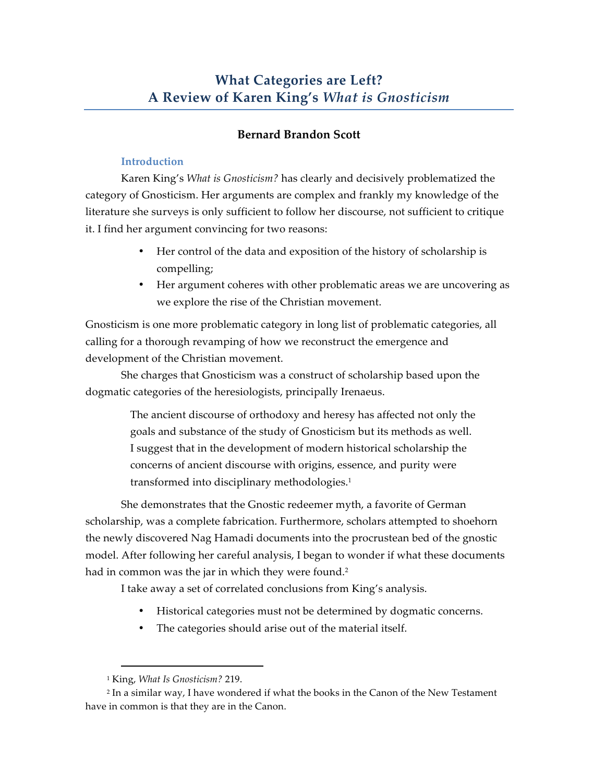# **Bernard Brandon Scott**

# **Introduction**

Karen King's *What is Gnosticism?* has clearly and decisively problematized the category of Gnosticism. Her arguments are complex and frankly my knowledge of the literature she surveys is only sufficient to follow her discourse, not sufficient to critique it. I find her argument convincing for two reasons:

- Her control of the data and exposition of the history of scholarship is compelling;
- Her argument coheres with other problematic areas we are uncovering as we explore the rise of the Christian movement.

Gnosticism is one more problematic category in long list of problematic categories, all calling for a thorough revamping of how we reconstruct the emergence and development of the Christian movement.

She charges that Gnosticism was a construct of scholarship based upon the dogmatic categories of the heresiologists, principally Irenaeus.

> The ancient discourse of orthodoxy and heresy has affected not only the goals and substance of the study of Gnosticism but its methods as well. I suggest that in the development of modern historical scholarship the concerns of ancient discourse with origins, essence, and purity were transformed into disciplinary methodologies.1

She demonstrates that the Gnostic redeemer myth, a favorite of German scholarship, was a complete fabrication. Furthermore, scholars attempted to shoehorn the newly discovered Nag Hamadi documents into the procrustean bed of the gnostic model. After following her careful analysis, I began to wonder if what these documents had in common was the jar in which they were found.<sup>2</sup>

I take away a set of correlated conclusions from King's analysis.

- Historical categories must not be determined by dogmatic concerns.
- The categories should arise out of the material itself.

 <sup>1</sup> King, *What Is Gnosticism?* 219.

<sup>2</sup> In a similar way, I have wondered if what the books in the Canon of the New Testament have in common is that they are in the Canon.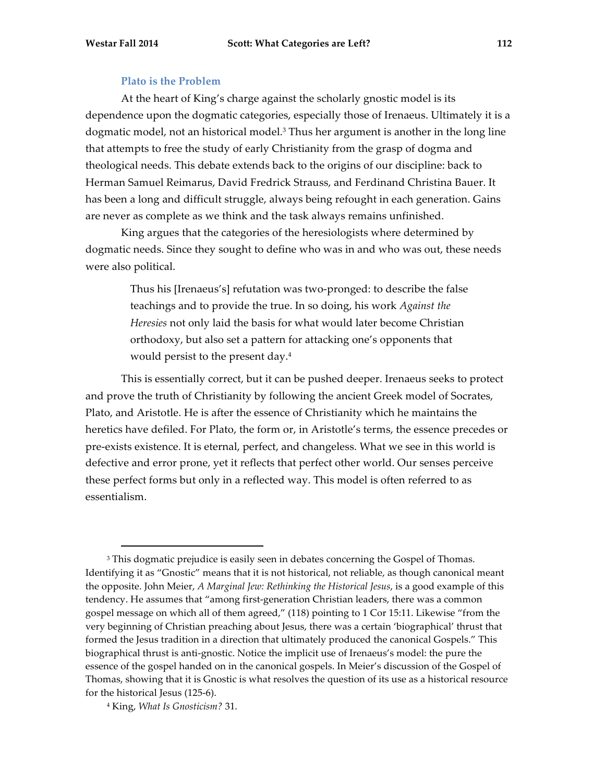### **Plato is the Problem**

At the heart of King's charge against the scholarly gnostic model is its dependence upon the dogmatic categories, especially those of Irenaeus. Ultimately it is a dogmatic model, not an historical model.<sup>3</sup> Thus her argument is another in the long line that attempts to free the study of early Christianity from the grasp of dogma and theological needs. This debate extends back to the origins of our discipline: back to Herman Samuel Reimarus, David Fredrick Strauss, and Ferdinand Christina Bauer. It has been a long and difficult struggle, always being refought in each generation. Gains are never as complete as we think and the task always remains unfinished.

King argues that the categories of the heresiologists where determined by dogmatic needs. Since they sought to define who was in and who was out, these needs were also political.

> Thus his [Irenaeus's] refutation was two-pronged: to describe the false teachings and to provide the true. In so doing, his work *Against the Heresies* not only laid the basis for what would later become Christian orthodoxy, but also set a pattern for attacking one's opponents that would persist to the present day.4

This is essentially correct, but it can be pushed deeper. Irenaeus seeks to protect and prove the truth of Christianity by following the ancient Greek model of Socrates, Plato, and Aristotle. He is after the essence of Christianity which he maintains the heretics have defiled. For Plato, the form or, in Aristotle's terms, the essence precedes or pre-exists existence. It is eternal, perfect, and changeless. What we see in this world is defective and error prone, yet it reflects that perfect other world. Our senses perceive these perfect forms but only in a reflected way. This model is often referred to as essentialism.

<sup>&</sup>lt;sup>3</sup> This dogmatic prejudice is easily seen in debates concerning the Gospel of Thomas. Identifying it as "Gnostic" means that it is not historical, not reliable, as though canonical meant the opposite. John Meier, *A Marginal Jew: Rethinking the Historical Jesus*, is a good example of this tendency. He assumes that "among first-generation Christian leaders, there was a common gospel message on which all of them agreed," (118) pointing to 1 Cor 15:11. Likewise "from the very beginning of Christian preaching about Jesus, there was a certain 'biographical' thrust that formed the Jesus tradition in a direction that ultimately produced the canonical Gospels." This biographical thrust is anti-gnostic. Notice the implicit use of Irenaeus's model: the pure the essence of the gospel handed on in the canonical gospels. In Meier's discussion of the Gospel of Thomas, showing that it is Gnostic is what resolves the question of its use as a historical resource for the historical Jesus (125-6).

<sup>4</sup> King, *What Is Gnosticism?* 31.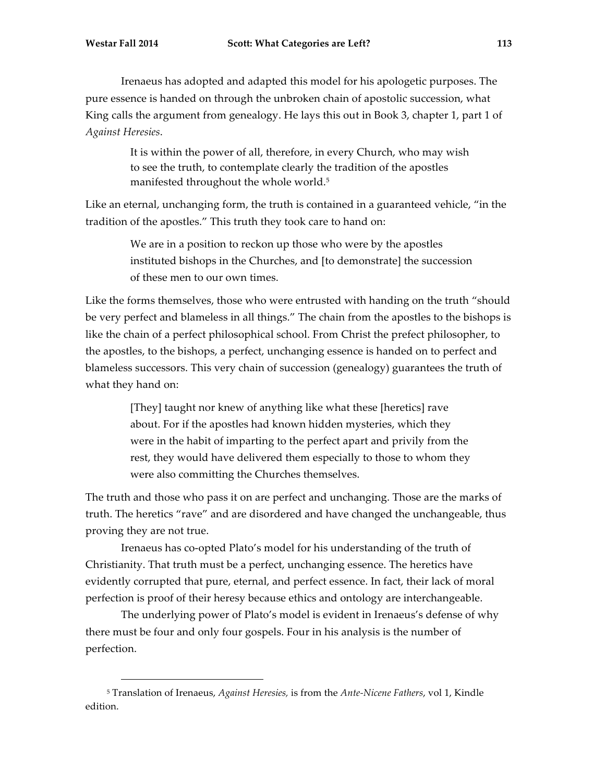Irenaeus has adopted and adapted this model for his apologetic purposes. The pure essence is handed on through the unbroken chain of apostolic succession, what King calls the argument from genealogy. He lays this out in Book 3, chapter 1, part 1 of *Against Heresies*.

> It is within the power of all, therefore, in every Church, who may wish to see the truth, to contemplate clearly the tradition of the apostles manifested throughout the whole world. 5

Like an eternal, unchanging form, the truth is contained in a guaranteed vehicle, "in the tradition of the apostles." This truth they took care to hand on:

> We are in a position to reckon up those who were by the apostles instituted bishops in the Churches, and [to demonstrate] the succession of these men to our own times.

Like the forms themselves, those who were entrusted with handing on the truth "should be very perfect and blameless in all things." The chain from the apostles to the bishops is like the chain of a perfect philosophical school. From Christ the prefect philosopher, to the apostles, to the bishops, a perfect, unchanging essence is handed on to perfect and blameless successors. This very chain of succession (genealogy) guarantees the truth of what they hand on:

> [They] taught nor knew of anything like what these [heretics] rave about. For if the apostles had known hidden mysteries, which they were in the habit of imparting to the perfect apart and privily from the rest, they would have delivered them especially to those to whom they were also committing the Churches themselves.

The truth and those who pass it on are perfect and unchanging. Those are the marks of truth. The heretics "rave" and are disordered and have changed the unchangeable, thus proving they are not true.

Irenaeus has co-opted Plato's model for his understanding of the truth of Christianity. That truth must be a perfect, unchanging essence. The heretics have evidently corrupted that pure, eternal, and perfect essence. In fact, their lack of moral perfection is proof of their heresy because ethics and ontology are interchangeable.

The underlying power of Plato's model is evident in Irenaeus's defense of why there must be four and only four gospels. Four in his analysis is the number of perfection.

 <sup>5</sup> Translation of Irenaeus, *Against Heresies,* is from the *Ante-Nicene Fathers*, vol 1, Kindle edition.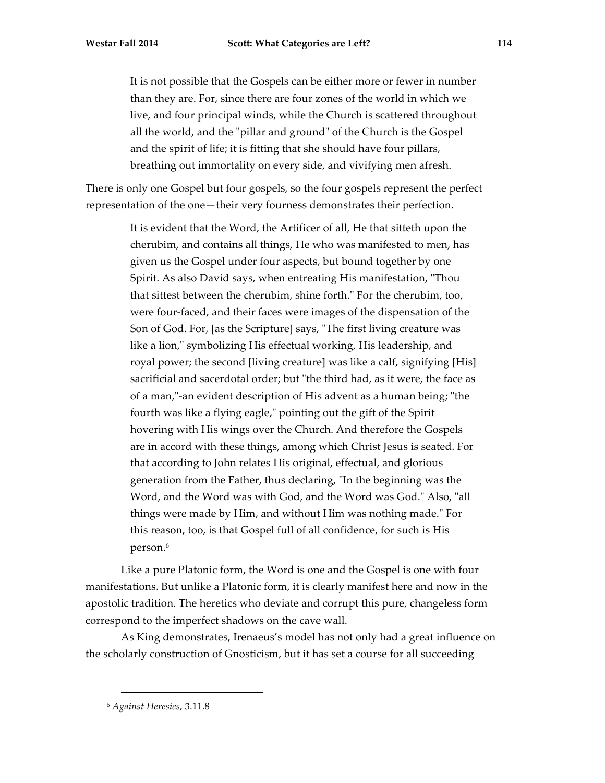It is not possible that the Gospels can be either more or fewer in number than they are. For, since there are four zones of the world in which we live, and four principal winds, while the Church is scattered throughout all the world, and the "pillar and ground" of the Church is the Gospel and the spirit of life; it is fitting that she should have four pillars, breathing out immortality on every side, and vivifying men afresh.

There is only one Gospel but four gospels, so the four gospels represent the perfect representation of the one—their very fourness demonstrates their perfection.

> It is evident that the Word, the Artificer of all, He that sitteth upon the cherubim, and contains all things, He who was manifested to men, has given us the Gospel under four aspects, but bound together by one Spirit. As also David says, when entreating His manifestation, "Thou that sittest between the cherubim, shine forth." For the cherubim, too, were four-faced, and their faces were images of the dispensation of the Son of God. For, [as the Scripture] says, "The first living creature was like a lion," symbolizing His effectual working, His leadership, and royal power; the second [living creature] was like a calf, signifying [His] sacrificial and sacerdotal order; but "the third had, as it were, the face as of a man,"-an evident description of His advent as a human being; "the fourth was like a flying eagle," pointing out the gift of the Spirit hovering with His wings over the Church. And therefore the Gospels are in accord with these things, among which Christ Jesus is seated. For that according to John relates His original, effectual, and glorious generation from the Father, thus declaring, "In the beginning was the Word, and the Word was with God, and the Word was God." Also, "all things were made by Him, and without Him was nothing made." For this reason, too, is that Gospel full of all confidence, for such is His person. 6

Like a pure Platonic form, the Word is one and the Gospel is one with four manifestations. But unlike a Platonic form, it is clearly manifest here and now in the apostolic tradition. The heretics who deviate and corrupt this pure, changeless form correspond to the imperfect shadows on the cave wall.

As King demonstrates, Irenaeus's model has not only had a great influence on the scholarly construction of Gnosticism, but it has set a course for all succeeding

 <sup>6</sup> *Against Heresies*, 3.11.8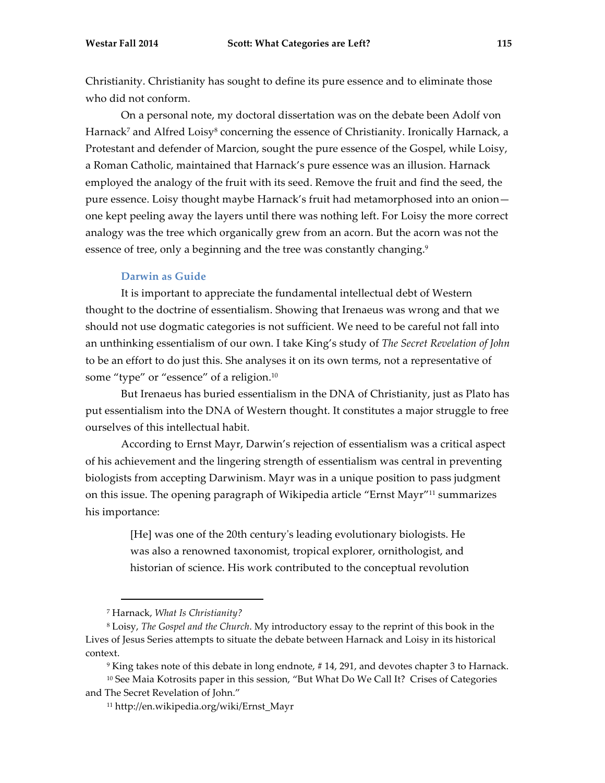Christianity. Christianity has sought to define its pure essence and to eliminate those who did not conform.

On a personal note, my doctoral dissertation was on the debate been Adolf von Harnack<sup>7</sup> and Alfred Loisy<sup>8</sup> concerning the essence of Christianity. Ironically Harnack, a Protestant and defender of Marcion, sought the pure essence of the Gospel, while Loisy, a Roman Catholic, maintained that Harnack's pure essence was an illusion. Harnack employed the analogy of the fruit with its seed. Remove the fruit and find the seed, the pure essence. Loisy thought maybe Harnack's fruit had metamorphosed into an onion one kept peeling away the layers until there was nothing left. For Loisy the more correct analogy was the tree which organically grew from an acorn. But the acorn was not the essence of tree, only a beginning and the tree was constantly changing.<sup>9</sup>

#### **Darwin as Guide**

It is important to appreciate the fundamental intellectual debt of Western thought to the doctrine of essentialism. Showing that Irenaeus was wrong and that we should not use dogmatic categories is not sufficient. We need to be careful not fall into an unthinking essentialism of our own. I take King's study of *The Secret Revelation of John* to be an effort to do just this. She analyses it on its own terms, not a representative of some "type" or "essence" of a religion.10

But Irenaeus has buried essentialism in the DNA of Christianity, just as Plato has put essentialism into the DNA of Western thought. It constitutes a major struggle to free ourselves of this intellectual habit.

According to Ernst Mayr, Darwin's rejection of essentialism was a critical aspect of his achievement and the lingering strength of essentialism was central in preventing biologists from accepting Darwinism. Mayr was in a unique position to pass judgment on this issue. The opening paragraph of Wikipedia article "Ernst Mayr"11 summarizes his importance:

> [He] was one of the 20th century's leading evolutionary biologists. He was also a renowned taxonomist, tropical explorer, ornithologist, and historian of science. His work contributed to the conceptual revolution

 <sup>7</sup> Harnack, *What Is Christianity?*

<sup>8</sup> Loisy, *The Gospel and the Church*. My introductory essay to the reprint of this book in the Lives of Jesus Series attempts to situate the debate between Harnack and Loisy in its historical context.

<sup>9</sup> King takes note of this debate in long endnote, # 14, 291, and devotes chapter 3 to Harnack.

<sup>&</sup>lt;sup>10</sup> See Maia Kotrosits paper in this session, "But What Do We Call It? Crises of Categories and The Secret Revelation of John."

<sup>11</sup> http://en.wikipedia.org/wiki/Ernst\_Mayr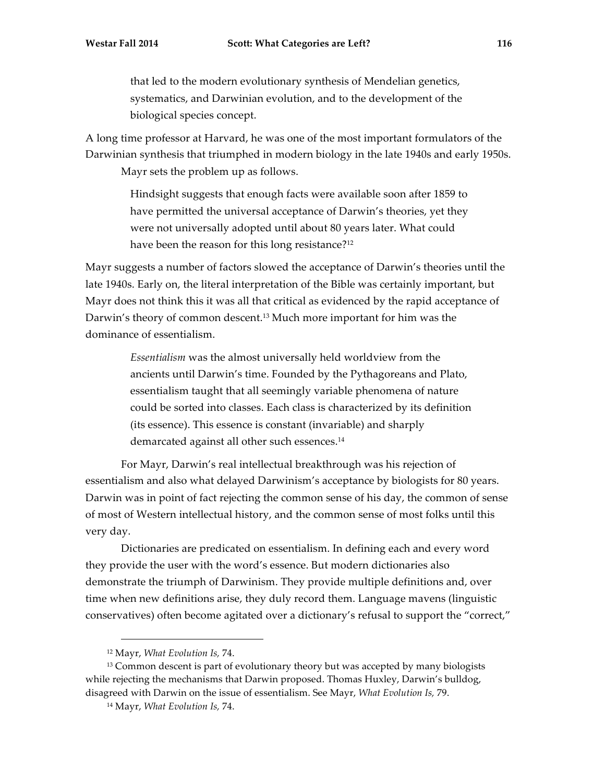that led to the modern evolutionary synthesis of Mendelian genetics, systematics, and Darwinian evolution, and to the development of the biological species concept.

A long time professor at Harvard, he was one of the most important formulators of the Darwinian synthesis that triumphed in modern biology in the late 1940s and early 1950s. Mayr sets the problem up as follows.

> Hindsight suggests that enough facts were available soon after 1859 to have permitted the universal acceptance of Darwin's theories, yet they were not universally adopted until about 80 years later. What could have been the reason for this long resistance?<sup>12</sup>

Mayr suggests a number of factors slowed the acceptance of Darwin's theories until the late 1940s. Early on, the literal interpretation of the Bible was certainly important, but Mayr does not think this it was all that critical as evidenced by the rapid acceptance of Darwin's theory of common descent.13 Much more important for him was the dominance of essentialism.

> *Essentialism* was the almost universally held worldview from the ancients until Darwin's time. Founded by the Pythagoreans and Plato, essentialism taught that all seemingly variable phenomena of nature could be sorted into classes. Each class is characterized by its definition (its essence). This essence is constant (invariable) and sharply demarcated against all other such essences.<sup>14</sup>

For Mayr, Darwin's real intellectual breakthrough was his rejection of essentialism and also what delayed Darwinism's acceptance by biologists for 80 years. Darwin was in point of fact rejecting the common sense of his day, the common of sense of most of Western intellectual history, and the common sense of most folks until this very day.

Dictionaries are predicated on essentialism. In defining each and every word they provide the user with the word's essence. But modern dictionaries also demonstrate the triumph of Darwinism. They provide multiple definitions and, over time when new definitions arise, they duly record them. Language mavens (linguistic conservatives) often become agitated over a dictionary's refusal to support the "correct,"

 $\overline{a}$ 

<sup>12</sup> Mayr, *What Evolution Is,* 74.

<sup>&</sup>lt;sup>13</sup> Common descent is part of evolutionary theory but was accepted by many biologists while rejecting the mechanisms that Darwin proposed. Thomas Huxley, Darwin's bulldog, disagreed with Darwin on the issue of essentialism. See Mayr, *What Evolution Is,* 79.

<sup>14</sup> Mayr, *What Evolution Is,* 74.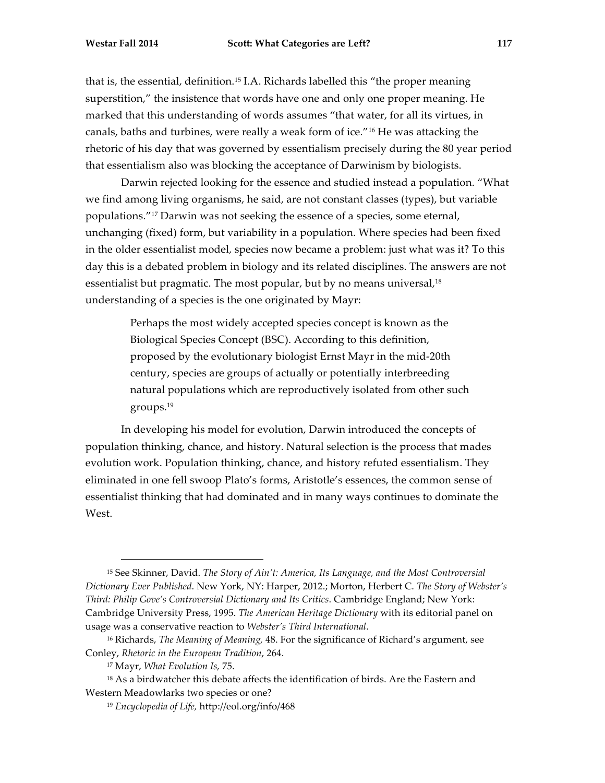that is, the essential, definition.15 I.A. Richards labelled this "the proper meaning superstition," the insistence that words have one and only one proper meaning. He marked that this understanding of words assumes "that water, for all its virtues, in canals, baths and turbines, were really a weak form of ice."16 He was attacking the rhetoric of his day that was governed by essentialism precisely during the 80 year period that essentialism also was blocking the acceptance of Darwinism by biologists.

Darwin rejected looking for the essence and studied instead a population. "What we find among living organisms, he said, are not constant classes (types), but variable populations."17 Darwin was not seeking the essence of a species, some eternal, unchanging (fixed) form, but variability in a population. Where species had been fixed in the older essentialist model, species now became a problem: just what was it? To this day this is a debated problem in biology and its related disciplines. The answers are not essentialist but pragmatic. The most popular, but by no means universal, 18 understanding of a species is the one originated by Mayr:

> Perhaps the most widely accepted species concept is known as the Biological Species Concept (BSC). According to this definition, proposed by the evolutionary biologist Ernst Mayr in the mid-20th century, species are groups of actually or potentially interbreeding natural populations which are reproductively isolated from other such groups.19

In developing his model for evolution, Darwin introduced the concepts of population thinking, chance, and history. Natural selection is the process that mades evolution work. Population thinking, chance, and history refuted essentialism. They eliminated in one fell swoop Plato's forms, Aristotle's essences, the common sense of essentialist thinking that had dominated and in many ways continues to dominate the West.

 <sup>15</sup> See Skinner, David. *The Story of Ain't: America, Its Language, and the Most Controversial Dictionary Ever Published*. New York, NY: Harper, 2012.; Morton, Herbert C. *The Story of Webster's Third: Philip Gove's Controversial Dictionary and Its Critics*. Cambridge England; New York: Cambridge University Press, 1995. *The American Heritage Dictionary* with its editorial panel on usage was a conservative reaction to *Webster's Third International*.

<sup>16</sup> Richards, *The Meaning of Meaning,* 48. For the significance of Richard's argument, see Conley, *Rhetoric in the European Tradition*, 264.

<sup>17</sup> Mayr, *What Evolution Is,* 75.

<sup>&</sup>lt;sup>18</sup> As a birdwatcher this debate affects the identification of birds. Are the Eastern and Western Meadowlarks two species or one?

<sup>19</sup> *Encyclopedia of Life,* http://eol.org/info/468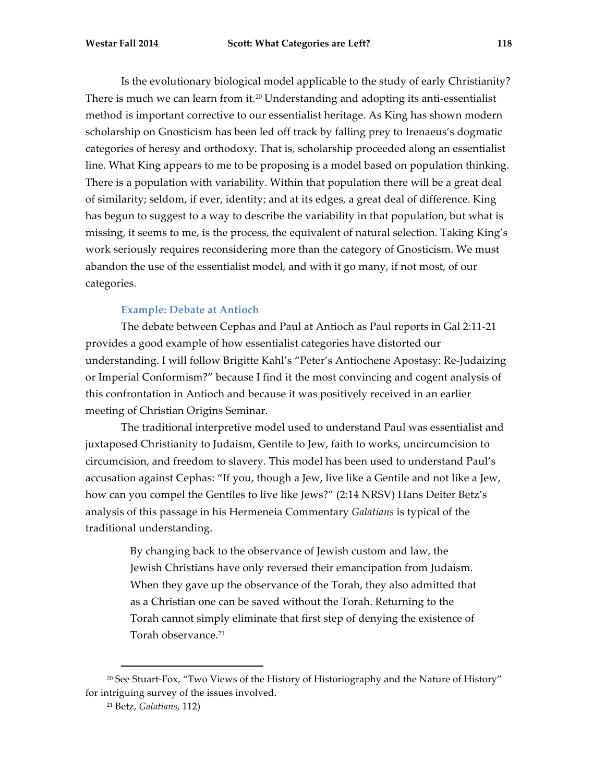Is the evolutionary biological model applicable to the study of early Christianity? There is much we can learn from it. <sup>20</sup> Understanding and adopting its anti-essentialist method is important corrective to our essentialist heritage. As King has shown modern scholarship on Gnosticism has been led off track by falling prey to Irenaeus's dogmatic categories of heresy and orthodoxy. That is, scholarship proceeded along an essentialist line. What King appears to me to be proposing is a model based on population thinking. There is a population with variability. Within that population there will be a great deal of similarity; seldom, if ever, identity; and at its edges, a great deal of difference. King has begun to suggest to a way to describe the variability in that population, but what is missing, it seems to me, is the process, the equivalent of natural selection. Taking King's work seriously requires reconsidering more than the category of Gnosticism. We must abandon the use of the essentialist model, and with it go many, if not most, of our categories.

### **Example: Debate at Antioch**

The debate between Cephas and Paul at Antioch as Paul reports in Gal 2:11-21 provides a good example of how essentialist categories have distorted our understanding. I will follow Brigitte Kahl's "Peter's Antiochene Apostasy: Re-Judaizing or Imperial Conformism?" because I find it the most convincing and cogent analysis of this confrontation in Antioch and because it was positively received in an earlier meeting of Christian Origins Seminar.

The traditional interpretive model used to understand Paul was essentialist and juxtaposed Christianity to Judaism, Gentile to Jew, faith to works, uncircumcision to circumcision, and freedom to slavery. This model has been used to understand Paul's accusation against Cephas: "If you, though a Jew, live like a Gentile and not like a Jew, how can you compel the Gentiles to live like Jews?" (2:14 NRSV) Hans Deiter Betz's analysis of this passage in his Hermeneia Commentary *Galatians* is typical of the traditional understanding.

> By changing back to the observance of Jewish custom and law, the Jewish Christians have only reversed their emancipation from Judaism. When they gave up the observance of the Torah, they also admitted that as a Christian one can be saved without the Torah. Returning to the Torah cannot simply eliminate that first step of denying the existence of Torah observance. 21

 <sup>20</sup> See Stuart-Fox, "Two Views of the History of Historiography and the Nature of History" for intriguing survey of the issues involved.

<sup>21</sup> Betz, *Galatians*, 112)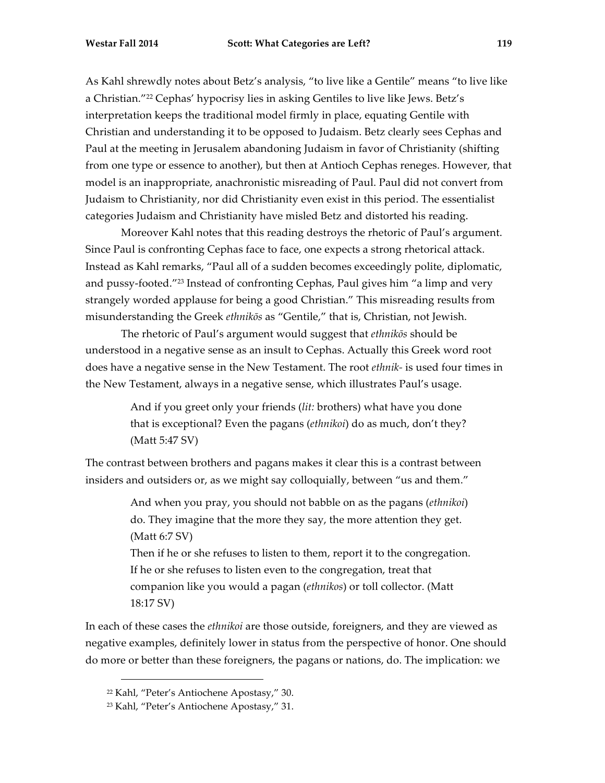As Kahl shrewdly notes about Betz's analysis, "to live like a Gentile" means "to live like a Christian."22 Cephas' hypocrisy lies in asking Gentiles to live like Jews. Betz's interpretation keeps the traditional model firmly in place, equating Gentile with Christian and understanding it to be opposed to Judaism. Betz clearly sees Cephas and Paul at the meeting in Jerusalem abandoning Judaism in favor of Christianity (shifting from one type or essence to another), but then at Antioch Cephas reneges. However, that model is an inappropriate, anachronistic misreading of Paul. Paul did not convert from

Moreover Kahl notes that this reading destroys the rhetoric of Paul's argument. Since Paul is confronting Cephas face to face, one expects a strong rhetorical attack. Instead as Kahl remarks, "Paul all of a sudden becomes exceedingly polite, diplomatic, and pussy-footed."23 Instead of confronting Cephas, Paul gives him "a limp and very strangely worded applause for being a good Christian." This misreading results from misunderstanding the Greek *ethnikōs* as "Gentile," that is, Christian, not Jewish.

Judaism to Christianity, nor did Christianity even exist in this period. The essentialist

categories Judaism and Christianity have misled Betz and distorted his reading.

The rhetoric of Paul's argument would suggest that *ethnikōs* should be understood in a negative sense as an insult to Cephas. Actually this Greek word root does have a negative sense in the New Testament. The root *ethnik-* is used four times in the New Testament, always in a negative sense, which illustrates Paul's usage.

> And if you greet only your friends (*lit:* brothers) what have you done that is exceptional? Even the pagans (*ethnikoi*) do as much, don't they? (Matt 5:47 SV)

The contrast between brothers and pagans makes it clear this is a contrast between insiders and outsiders or, as we might say colloquially, between "us and them."

> And when you pray, you should not babble on as the pagans (*ethnikoi*) do. They imagine that the more they say, the more attention they get. (Matt 6:7 SV)

> Then if he or she refuses to listen to them, report it to the congregation. If he or she refuses to listen even to the congregation, treat that companion like you would a pagan (*ethnikos*) or toll collector. (Matt 18:17 SV)

In each of these cases the *ethnikoi* are those outside, foreigners, and they are viewed as negative examples, definitely lower in status from the perspective of honor. One should do more or better than these foreigners, the pagans or nations, do. The implication: we

 <sup>22</sup> Kahl, "Peter's Antiochene Apostasy," 30.

<sup>23</sup> Kahl, "Peter's Antiochene Apostasy," 31.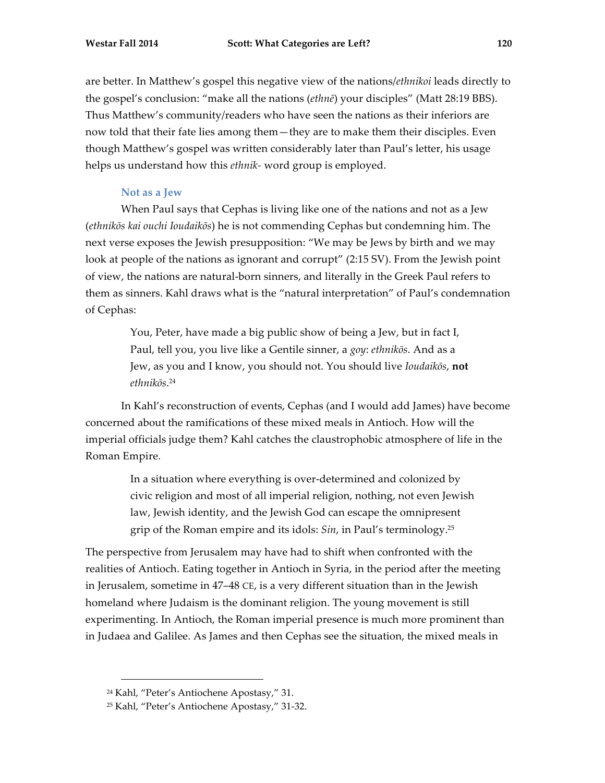are better. In Matthew's gospel this negative view of the nations/*ethnikoi* leads directly to the gospel's conclusion: "make all the nations (*ethnē*) your disciples" (Matt 28:19 BBS). Thus Matthew's community/readers who have seen the nations as their inferiors are now told that their fate lies among them—they are to make them their disciples. Even though Matthew's gospel was written considerably later than Paul's letter, his usage helps us understand how this *ethnik-* word group is employed.

# **Not as a Jew**

When Paul says that Cephas is living like one of the nations and not as a Jew (*ethnikōs kai ouchi Ioudaikōs*) he is not commending Cephas but condemning him. The next verse exposes the Jewish presupposition: "We may be Jews by birth and we may look at people of the nations as ignorant and corrupt" (2:15 SV). From the Jewish point of view, the nations are natural-born sinners, and literally in the Greek Paul refers to them as sinners. Kahl draws what is the "natural interpretation" of Paul's condemnation of Cephas:

> You, Peter, have made a big public show of being a Jew, but in fact I, Paul, tell you, you live like a Gentile sinner, a *goy*: *ethnikōs*. And as a Jew, as you and I know, you should not. You should live *Ioudaikōs*, **not** *ethnikōs*. 24

In Kahl's reconstruction of events, Cephas (and I would add James) have become concerned about the ramifications of these mixed meals in Antioch. How will the imperial officials judge them? Kahl catches the claustrophobic atmosphere of life in the Roman Empire.

> In a situation where everything is over-determined and colonized by civic religion and most of all imperial religion, nothing, not even Jewish law, Jewish identity, and the Jewish God can escape the omnipresent grip of the Roman empire and its idols: *Sin*, in Paul's terminology.25

The perspective from Jerusalem may have had to shift when confronted with the realities of Antioch. Eating together in Antioch in Syria, in the period after the meeting in Jerusalem, sometime in 47–48 CE, is a very different situation than in the Jewish homeland where Judaism is the dominant religion. The young movement is still experimenting. In Antioch, the Roman imperial presence is much more prominent than in Judaea and Galilee. As James and then Cephas see the situation, the mixed meals in

 <sup>24</sup> Kahl, "Peter's Antiochene Apostasy," 31.

<sup>25</sup> Kahl, "Peter's Antiochene Apostasy," 31-32.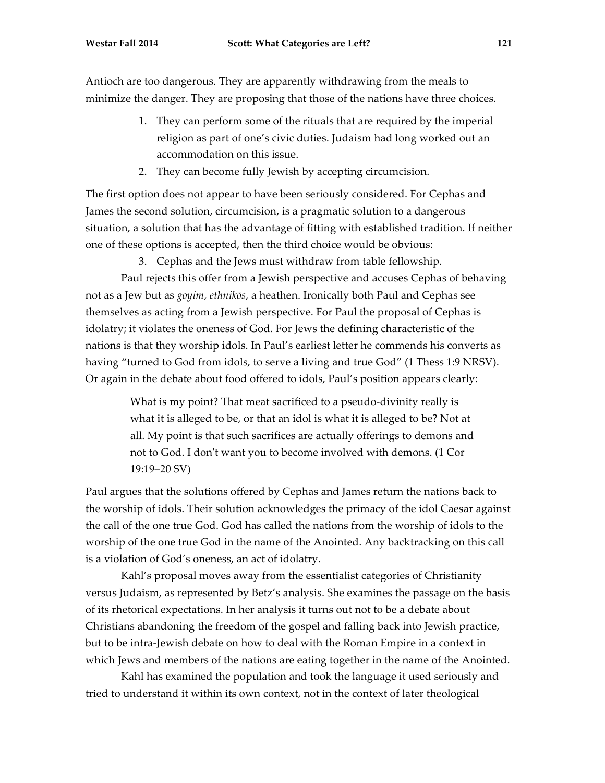Antioch are too dangerous. They are apparently withdrawing from the meals to minimize the danger. They are proposing that those of the nations have three choices.

- 1. They can perform some of the rituals that are required by the imperial religion as part of one's civic duties. Judaism had long worked out an accommodation on this issue.
- 2. They can become fully Jewish by accepting circumcision.

The first option does not appear to have been seriously considered. For Cephas and James the second solution, circumcision, is a pragmatic solution to a dangerous situation, a solution that has the advantage of fitting with established tradition. If neither one of these options is accepted, then the third choice would be obvious:

3. Cephas and the Jews must withdraw from table fellowship.

Paul rejects this offer from a Jewish perspective and accuses Cephas of behaving not as a Jew but as *goyim*, *ethnikōs*, a heathen. Ironically both Paul and Cephas see themselves as acting from a Jewish perspective. For Paul the proposal of Cephas is idolatry; it violates the oneness of God. For Jews the defining characteristic of the nations is that they worship idols. In Paul's earliest letter he commends his converts as having "turned to God from idols, to serve a living and true God" (1 Thess 1:9 NRSV). Or again in the debate about food offered to idols, Paul's position appears clearly:

> What is my point? That meat sacrificed to a pseudo-divinity really is what it is alleged to be, or that an idol is what it is alleged to be? Not at all. My point is that such sacrifices are actually offerings to demons and not to God. I don't want you to become involved with demons. (1 Cor 19:19–20 SV)

Paul argues that the solutions offered by Cephas and James return the nations back to the worship of idols. Their solution acknowledges the primacy of the idol Caesar against the call of the one true God. God has called the nations from the worship of idols to the worship of the one true God in the name of the Anointed. Any backtracking on this call is a violation of God's oneness, an act of idolatry.

Kahl's proposal moves away from the essentialist categories of Christianity versus Judaism, as represented by Betz's analysis. She examines the passage on the basis of its rhetorical expectations. In her analysis it turns out not to be a debate about Christians abandoning the freedom of the gospel and falling back into Jewish practice, but to be intra-Jewish debate on how to deal with the Roman Empire in a context in which Jews and members of the nations are eating together in the name of the Anointed.

Kahl has examined the population and took the language it used seriously and tried to understand it within its own context, not in the context of later theological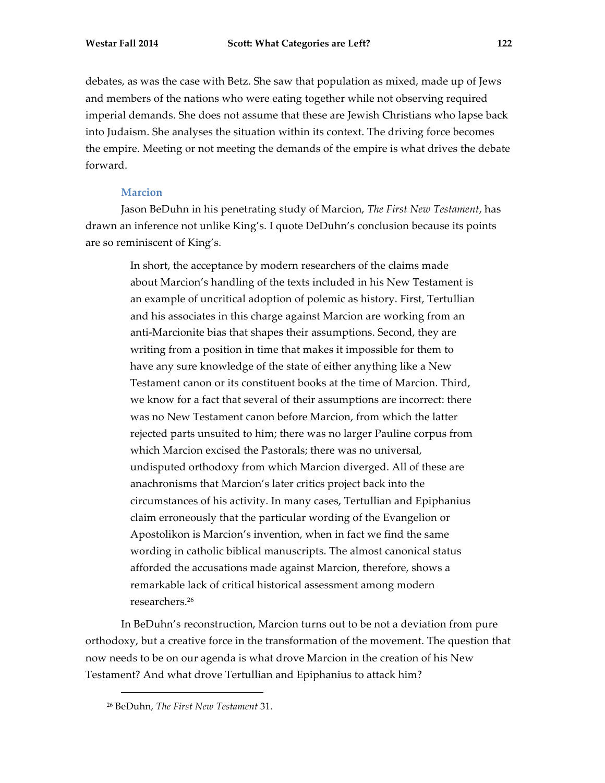debates, as was the case with Betz. She saw that population as mixed, made up of Jews and members of the nations who were eating together while not observing required imperial demands. She does not assume that these are Jewish Christians who lapse back into Judaism. She analyses the situation within its context. The driving force becomes the empire. Meeting or not meeting the demands of the empire is what drives the debate forward.

#### **Marcion**

Jason BeDuhn in his penetrating study of Marcion, *The First New Testament*, has drawn an inference not unlike King's. I quote DeDuhn's conclusion because its points are so reminiscent of King's.

> In short, the acceptance by modern researchers of the claims made about Marcion's handling of the texts included in his New Testament is an example of uncritical adoption of polemic as history. First, Tertullian and his associates in this charge against Marcion are working from an anti-Marcionite bias that shapes their assumptions. Second, they are writing from a position in time that makes it impossible for them to have any sure knowledge of the state of either anything like a New Testament canon or its constituent books at the time of Marcion. Third, we know for a fact that several of their assumptions are incorrect: there was no New Testament canon before Marcion, from which the latter rejected parts unsuited to him; there was no larger Pauline corpus from which Marcion excised the Pastorals; there was no universal, undisputed orthodoxy from which Marcion diverged. All of these are anachronisms that Marcion's later critics project back into the circumstances of his activity. In many cases, Tertullian and Epiphanius claim erroneously that the particular wording of the Evangelion or Apostolikon is Marcion's invention, when in fact we find the same wording in catholic biblical manuscripts. The almost canonical status afforded the accusations made against Marcion, therefore, shows a remarkable lack of critical historical assessment among modern researchers.26

In BeDuhn's reconstruction, Marcion turns out to be not a deviation from pure orthodoxy, but a creative force in the transformation of the movement. The question that now needs to be on our agenda is what drove Marcion in the creation of his New Testament? And what drove Tertullian and Epiphanius to attack him?

 <sup>26</sup> BeDuhn, *The First New Testament* 31.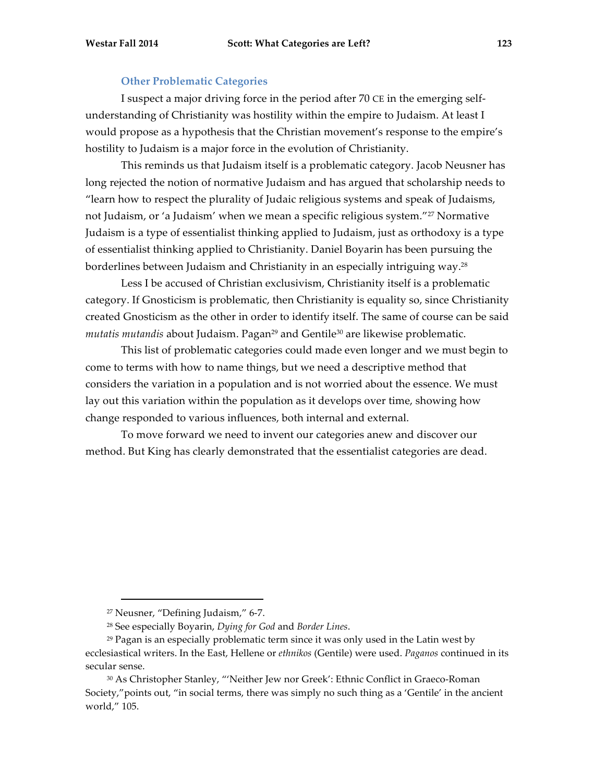### **Other Problematic Categories**

I suspect a major driving force in the period after 70 CE in the emerging selfunderstanding of Christianity was hostility within the empire to Judaism. At least I would propose as a hypothesis that the Christian movement's response to the empire's hostility to Judaism is a major force in the evolution of Christianity.

This reminds us that Judaism itself is a problematic category. Jacob Neusner has long rejected the notion of normative Judaism and has argued that scholarship needs to "learn how to respect the plurality of Judaic religious systems and speak of Judaisms, not Judaism, or 'a Judaism' when we mean a specific religious system."27 Normative Judaism is a type of essentialist thinking applied to Judaism, just as orthodoxy is a type of essentialist thinking applied to Christianity. Daniel Boyarin has been pursuing the borderlines between Judaism and Christianity in an especially intriguing way.28

Less I be accused of Christian exclusivism, Christianity itself is a problematic category. If Gnosticism is problematic, then Christianity is equality so, since Christianity created Gnosticism as the other in order to identify itself. The same of course can be said *mutatis mutandis* about Judaism. Pagan<sup>29</sup> and Gentile<sup>30</sup> are likewise problematic.

This list of problematic categories could made even longer and we must begin to come to terms with how to name things, but we need a descriptive method that considers the variation in a population and is not worried about the essence. We must lay out this variation within the population as it develops over time, showing how change responded to various influences, both internal and external.

To move forward we need to invent our categories anew and discover our method. But King has clearly demonstrated that the essentialist categories are dead.

 <sup>27</sup> Neusner, "Defining Judaism," 6-7.

<sup>28</sup> See especially Boyarin, *Dying for God* and *Border Lines*.

 $29$  Pagan is an especially problematic term since it was only used in the Latin west by ecclesiastical writers. In the East, Hellene or *ethnikos* (Gentile) were used. *Paganos* continued in its secular sense.

<sup>30</sup> As Christopher Stanley, "'Neither Jew nor Greek': Ethnic Conflict in Graeco-Roman Society,"points out, "in social terms, there was simply no such thing as a 'Gentile' in the ancient world," 105.